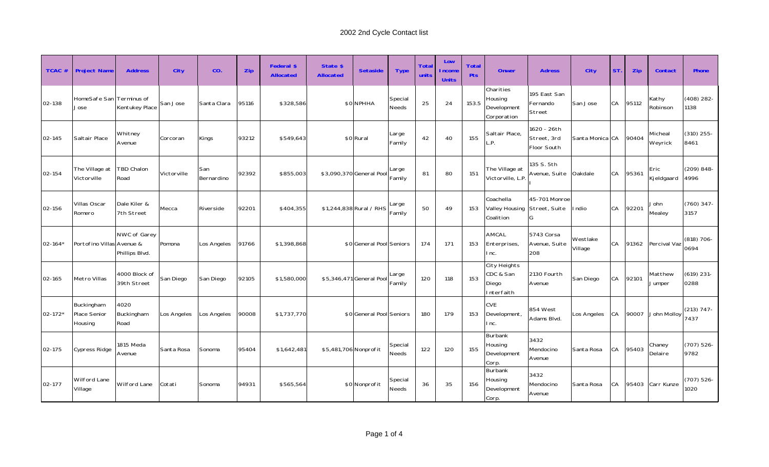| TCAC #      | <b>Project Name</b>                   | <b>Address</b>                 | <b>City</b> | CO.               | Zip   | <b>Federal \$</b><br><b>Allocated</b> | State \$<br><b>Allocated</b>                | <b>Setaside</b>               | <b>Type</b>      | <b>Total</b><br>units | Low<br><b>Income</b><br><b>Units</b> | <b>Total</b><br><b>Pts</b>               | <b>Onwer</b>                                       | <b>Adress</b>                             | <b>City</b>     | <b>ST</b> | <b>Zip</b>         | <b>Contact</b>        | <b>Phone</b>          |
|-------------|---------------------------------------|--------------------------------|-------------|-------------------|-------|---------------------------------------|---------------------------------------------|-------------------------------|------------------|-----------------------|--------------------------------------|------------------------------------------|----------------------------------------------------|-------------------------------------------|-----------------|-----------|--------------------|-----------------------|-----------------------|
| 02-138      | HomeSafe San Terminus of<br>Jose      | Kentukey Place                 | San Jose    | Santa Clara       | 95116 | \$328,586                             |                                             | Special<br>\$0 NPHHA<br>Needs |                  | 25                    | 24                                   | 153.5                                    | Charities<br>Housing<br>Development<br>Corporation | 195 East San<br>Fernando<br>Street        | San Jose        | CA        | 95112              | Kathy<br>Robinson     | $(408)$ 282-<br>1138  |
| 02-145      | Saltair Place                         | Whitney<br>Avenue              | Corcoran    | Kings             | 93212 | \$549,643                             | Large<br>\$0 Rural<br>Family                |                               |                  | 42                    | 40                                   | 155                                      | Saltair Place,<br>$\mathsf{P}$ .                   | 1620 - 26th<br>Street, 3rd<br>Floor South | Santa Monica CA |           | 90404              | Micheal<br>Weyrick    | $(310)$ 255-<br>8461  |
| 02-154      | The Village at<br>Victorville         | TBD Chalon<br>Road             | Victorville | San<br>Bernardino | 92392 | \$855,003                             | Large<br>\$3,090,370 General Pool<br>Family |                               | 81               | 80                    | 151                                  | The Village at<br>Victorville, L.P.      | 135 S. 5th<br>Avenue, Suite                        | Oakdale                                   | CA              | 95361     | Eric<br>Kjeldgaard | $(209) 848 -$<br>4996 |                       |
| 02-156      | Villas Oscar<br>Romero                | Dale Kiler &<br>7th Street     | Mecca       | Riverside         | 92201 | \$404,355                             | Large<br>\$1,244,838 Rural / RHS<br>Family  |                               | 50               | 49                    | 153                                  | Coachella<br>Valley Housing<br>Coalition | 45-701 Monroe<br>Street, Suite<br>G                | I ndio                                    | CA              | 92201     | John<br>Mealey     | $(760)$ 347-<br>3157  |                       |
| $02 - 164'$ | Portofino Villas Avenue &             | NWC of Garey<br>Phillips Blvd. | Pomona      | Los Angeles       | 91766 | \$1,398,868                           | \$0 General Pool Seniors                    |                               | 174              | 171                   | 153                                  | AMCAL<br>Enterprises,<br>Inc.            | 5743 Corsa<br>Avenue, Suite<br>208                 | Westlake<br>Village                       | CA              | 91362     | Percival Vaz       | $(818) 706 -$<br>0694 |                       |
| 02-165      | Metro Villas                          | 4000 Block of<br>39th Street   | San Diego   | San Diego         | 92105 | \$1,580,000                           |                                             | \$5,346,471 General Pool      | Large<br>Family  | 120                   | 118                                  | 153                                      | City Heights<br>CDC & San<br>Diego<br>Interfaith   | 2130 Fourth<br>Avenue                     | San Diego       | CA        | 92101              | Matthew<br>Jumper     | $(619)$ 231-<br>0288  |
| $02 - 172*$ | Buckingham<br>Place Senior<br>Housing | 4020<br>Buckingham<br>Road     | Los Angeles | Los Angeles       | 90008 | \$1,737,770                           |                                             | \$0 General Pool Seniors      |                  | 180                   | 179                                  | 153                                      | <b>CVE</b><br>Development,<br>Inc.                 | 854 West<br>Adams Blvd.                   | Los Angeles     | CA        | 90007              | John Molloy           | $(213) 747 -$<br>7437 |
| 02-175      | Cypress Ridge                         | 1815 Meda<br>Avenue            | Santa Rosa  | Sonoma            | 95404 | \$1,642,481                           | \$5,481,706 Nonprofit                       |                               | Special<br>Needs | 122                   | 120                                  | 155                                      | Burbank<br>Housing<br>Development<br>Corp.         | 3432<br>Mendocino<br>Avenue               | Santa Rosa      | CA        | 95403              | Chaney<br>Delaire     | (707) 526-<br>9782    |
| 02-177      | Wilford Lane<br>Village               | Wilford Lane                   | Cotati      | Sonoma            | 94931 | \$565,564                             |                                             | \$0 Nonprofit                 | Special<br>Needs | 36                    | 35                                   | 156                                      | Burbank<br>Housing<br>Development<br>Corp.         | 3432<br>Mendocino<br>Avenue               | Santa Rosa      | CA        | 95403              | Carr Kunze            | $(707) 526 -$<br>1020 |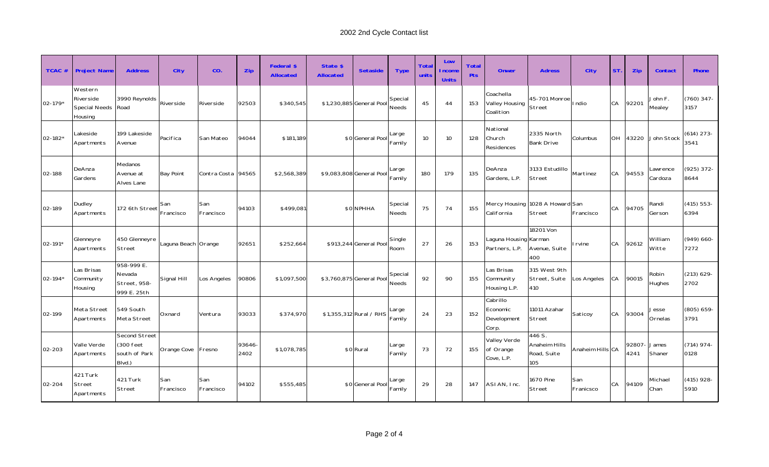| $TCAC \#$   | <b>Project Name</b>                              | <b>Address</b>                                        | <b>City</b>         | CO.                  | Zip            | <b>Federal \$</b><br><b>Allocated</b> | State \$<br><b>Allocated</b> | <b>Setaside</b>          | <b>Type</b>             | <b>Total</b><br>units | Low<br><b>Income</b><br><b>Units</b> | <b>Total</b><br><b>Pts</b> | <b>Onwer</b>                                 | <b>Adress</b>                                 | <b>City</b>      | <b>ST</b> | Zip           | <b>Contact</b>      | <b>Phone</b>          |
|-------------|--------------------------------------------------|-------------------------------------------------------|---------------------|----------------------|----------------|---------------------------------------|------------------------------|--------------------------|-------------------------|-----------------------|--------------------------------------|----------------------------|----------------------------------------------|-----------------------------------------------|------------------|-----------|---------------|---------------------|-----------------------|
| $02 - 179*$ | Western<br>Riverside<br>Special Needs<br>Housing | 3990 Reynolds<br>Road                                 | Riverside           | Riverside            | 92503          | \$340,545                             |                              | \$1,230,885 General Pool |                         | 45                    | 44                                   | 153                        | Coachella<br>Valley Housing<br>Coalition     | 45-701 Monroe<br>Street                       | I ndio           | CA        | 92201         | John F.<br>Mealey   | $(760)$ 347-<br>3157  |
| $02 - 182*$ | Lakeside<br>Apartments                           | 199 Lakeside<br>Avenue                                | Pacifica            | San Mateo            | 94044          | \$181,189                             | \$0 General Pool             |                          | Large<br>Family         | 10                    | 10                                   | 128                        | National<br>Church<br>Residences             | 2335 North<br><b>Bank Drive</b>               | Columbus         | OH        | 43220         | John Stock          | $(614)$ 273-<br>3541  |
| 02-188      | DeAnza<br>Gardens                                | Medanos<br>Avenue at<br>Alves Lane                    | <b>Bay Point</b>    | Contra Costa   94565 |                | \$2,568,389                           |                              | \$9,083,808 General Pool | Large<br>Family         | 180                   | 179                                  | 135                        | DeAnza<br>Gardens, L.P.                      | 3133 Estudillo<br>Street                      | Martinez         | CA        | 94553         | Lawrence<br>Cardoza | (925) 372-<br>8644    |
| 02-189      | Dudley<br>Apartments                             | 172 6th Street                                        | San<br>Francisco    | San<br>Francisco     | 94103          | \$499,081                             |                              | \$0 NPHHA                | Special<br><b>Needs</b> | 75                    | 74                                   | 155                        | California                                   | Mercy Housing 1028 A Howard San<br>Street     | Francisco        | CA        | 94705         | Randi<br>Gerson     | $(415) 553 -$<br>6394 |
| $02 - 191*$ | Glenneyre<br>Apartments                          | 450 Glenneyre<br>Street                               | Laguna Beach Orange |                      | 92651          | \$252,664                             |                              | \$913,244 General Pool   | Single<br>Room          | 27                    | 26                                   | 153                        | Laguna Housing Karman<br>Partners, L.P.      | 18201 Von<br>Avenue, Suite<br>400             | I rvine          | CA        | 92612         | William<br>Witte    | $(949) 660 -$<br>7272 |
| $02 - 194*$ | Las Brisas<br>Community<br>Housing               | 958-999 E.<br>Nevada<br>Street, 958-<br>999 E. 25th   | Signal Hill         | Los Angeles          | 90806          | \$1,097,500                           |                              | \$3,760,875 General Poo  | Special<br>Needs        | 92                    | 90                                   | 155                        | Las Brisas<br>Community<br>Housing L.P.      | 315 West 9th<br>Street, Suite<br>410          | Los Angeles      | <b>CA</b> | 90015         | Robin<br>Hughes     | $(213) 629 -$<br>2702 |
| 02-199      | Meta Street<br>Apartments                        | 549 South<br>Meta Street                              | Oxnard              | Ventura              | 93033          | \$374,970                             |                              | \$1,355,312 Rural / RHS  | Large<br>Family         | 24                    | 23                                   | 152                        | Cabrillo<br>Economic<br>Development<br>Corp. | 11011 Azahar<br>Street                        | Saticoy          | CA        | 93004         | Jesse<br>Ornelas    | $(805) 659 -$<br>3791 |
| 02-203      | Valle Verde<br>Apartments                        | Second Street<br>(300 feet<br>south of Park<br>Blvd.) | Orange Cove         | Fresno               | 93646-<br>2402 | \$1,078,785                           |                              | \$0 Rural                | Large<br>Family         | 73                    | 72                                   | 155                        | Valley Verde<br>of Orange<br>Cove, L.P.      | 446 S.<br>Anaheim Hills<br>Road, Suite<br>105 | Anaheim Hills CA |           | 92807<br>4241 | James<br>Shaner     | $(714)$ 974-<br>0128  |
| 02-204      | 421 Turk<br>Street<br>Apartments                 | 421 Turk<br>Street                                    | San<br>Francisco    | San<br>Francisco     | 94102          | \$555,485                             |                              | \$0 General Pool         | Large<br>Family         | 29                    | 28                                   | 147                        | ASIAN, Inc.                                  | 1670 Pine<br>Street                           | San<br>Franicsco | CA        | 94109         | Michael<br>Chan     | $(415)$ 928-<br>5910  |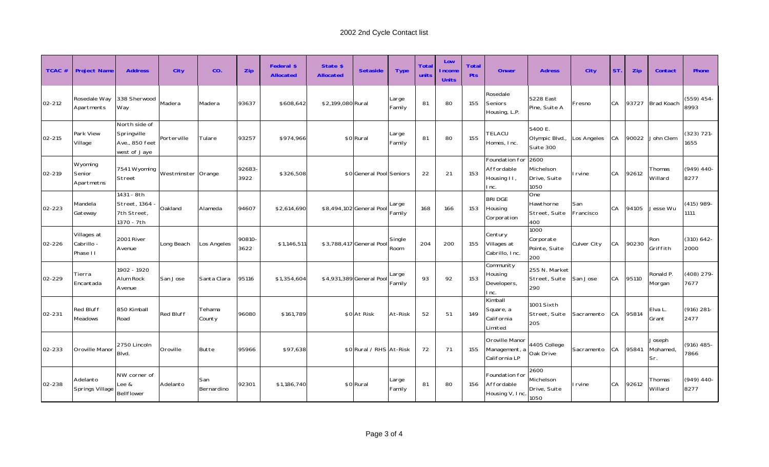| $TCAC \#$ | <b>Project Name</b>                   | <b>Address</b>                                                 | <b>City</b>        | CO.               | Zip            | Federal \$<br><b>Allocated</b> | State \$<br><b>Allocated</b> | <b>Setaside</b>          | <b>Type</b>     | <b>Total</b><br>units | Low<br><b>Income</b><br><b>Units</b> | <b>Total</b><br>Pts | <b>Onwer</b>                                        | <b>Adress</b>                             | <b>City</b>      | <b>ST</b> | <b>Zip</b> | <b>Contact</b>            | <b>Phone</b>          |
|-----------|---------------------------------------|----------------------------------------------------------------|--------------------|-------------------|----------------|--------------------------------|------------------------------|--------------------------|-----------------|-----------------------|--------------------------------------|---------------------|-----------------------------------------------------|-------------------------------------------|------------------|-----------|------------|---------------------------|-----------------------|
| 02-212    | Rosedale Way<br>Apartments            | 338 Sherwood<br>Way                                            | Madera             | Madera            | 93637          | \$608,642                      | \$2,199,080 Rural            |                          | Large<br>Family | 81                    | 80                                   | 155                 | Rosedale<br>Seniors<br>Housing, L.P.                | 5228 East<br>Pine, Suite A                | Fresno           | CA        | 93727      | <b>Brad Koach</b>         | $(559)$ 454-<br>8993  |
| 02-215    | Park View<br>Village                  | North side of<br>Springville<br>Ave., 850 feet<br>west of Jaye | Porterville        | Tulare            | 93257          | \$974,966                      |                              | \$0 Rural                | Large<br>Family | 81                    | 80                                   | 155                 | TELACU<br>Homes, Inc.                               | 5400 E.<br>Olympic Blvd.,<br>Suite 300    | Los Angeles      | <b>CA</b> | 90022      | John Clem                 | $(323) 721 -$<br>1655 |
| 02-219    | Wyoming<br>Senior<br>Apartmetns       | 7541 Wyoming<br>Street                                         | Westminster Orange |                   | 92683-<br>3922 | \$326,508                      |                              | \$0 General Pool Seniors |                 | 22                    | 21                                   | 153                 | Foundation for<br>Affordable<br>Housing II,<br>Inc. | 2600<br>Michelson<br>Drive, Suite<br>1050 | I rvine          | CA        | 92612      | Thomas<br>Willard         | $(949)$ 440-<br>8277  |
| 02-223    | Mandela<br>Gateway                    | 1431 - 8th<br>Street, 1364<br>7th Street,<br>1370 - 7th        | Oakland            | Alameda           | 94607          | \$2,614,690                    |                              | \$8,494,102 General Pool | Large<br>Family | 168                   | 166                                  | 153                 | <b>BRIDGE</b><br>Housing<br>Corporation             | One<br>Hawthorne<br>Street, Suite<br>400  | San<br>Francisco | CA        | 94105      | Jesse Wu                  | $(415)$ 989-<br>1111  |
| 02-226    | Villages at<br>Cabrillo -<br>Phase II | 2001 River<br>Avenue                                           | Long Beach         | Los Angeles       | 90810-<br>3622 | \$1,146,511                    |                              | \$3,788,417 General Pool | Single<br>Room  | 204                   | 200                                  | 155                 | Century<br>Villages at<br>Cabrillo, Inc.            | 1000<br>Corporate<br>Pointe, Suite<br>200 | Culver City      | <b>CA</b> | 90230      | Ron<br>Griffith           | $(310) 642 -$<br>2000 |
| 02-229    | Tierra<br>Encantada                   | 1902 - 1920<br>Alum Rock<br>Avenue                             | San Jose           | Santa Clara       | 95116          | \$1,354,604                    |                              | \$4,931,389 General Pool | Large<br>Family | 93                    | 92                                   | 153                 | Community<br>Housing<br>Developers,<br>Inc.         | 255 N. Market<br>Street, Suite<br>290     | San Jose         | <b>CA</b> | 95110      | Ronald P.<br>Morgan       | $(408)$ 279-<br>7677  |
| 02-231    | <b>Red Bluff</b><br><b>Meadows</b>    | 850 Kimball<br>Road                                            | <b>Red Bluff</b>   | Tehama<br>County  | 96080          | \$161,789                      |                              | \$0 At Risk              | At-Risk         | 52                    | 51                                   | 149                 | Kimball<br>Square, a<br>California<br>Limited       | 1001 Sixth<br>Street, Suite<br>205        | Sacramento       | <b>CA</b> | 95814      | Elva L.<br>Grant          | $(916)$ 281-<br>2477  |
| 02-233    | Oroville Manor                        | 2750 Lincoln<br>Blvd.                                          | Oroville           | Butte             | 95966          | \$97,638                       |                              | \$0 Rural / RHS At-Risk  |                 | 72                    | 71                                   | 155                 | Oroville Manor<br>Management, a<br>California LP    | 4405 College<br>Oak Drive                 | Sacramento       | <b>CA</b> | 95841      | Joseph<br>Mohamed,<br>Sr. | $(916)$ 485-<br>7866  |
| 02-238    | Adelanto<br>Springs Village           | NW corner of<br>Lee &<br>Bellflower                            | Adelanto           | San<br>Bernardino | 92301          | \$1,186,740                    |                              | \$0 Rural                | Large<br>Family | 81                    | 80                                   | 156                 | Foundation for<br>Affordable<br>Housing V, Inc.     | 2600<br>Michelson<br>Drive, Suite<br>1050 | I rvine          | CA        | 92612      | Thomas<br>Willard         | $(949)$ 440-<br>8277  |